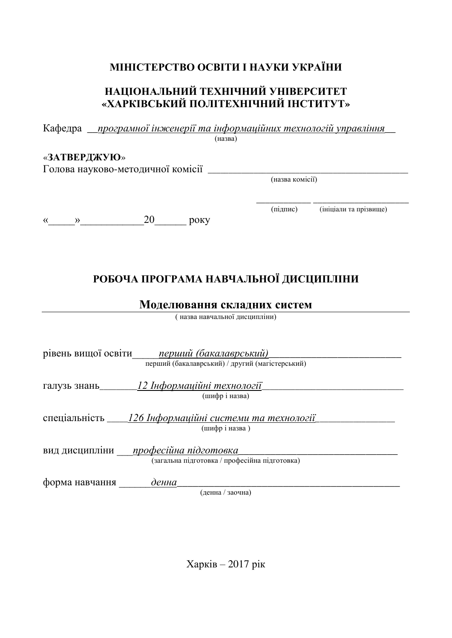# **МІНІСТЕРСТВО ОСВІТИ І НАУКИ УКРАЇНИ**

# НАЦІОНАЛЬНИЙ ТЕХНІЧНИЙ УНІВЕРСИТЕТ «ХАРКІВСЬКИЙ ПОЛІТЕХНІЧНИЙ ІНСТИТУТ»

|                                               | Кафедра <i>програмної інженерії та інформаційних технологій управління</i>                             |                 |                        |
|-----------------------------------------------|--------------------------------------------------------------------------------------------------------|-----------------|------------------------|
|                                               | (назва)                                                                                                |                 |                        |
| «ЗАТВЕРДЖУЮ»                                  | Голова науково-методичної комісії ____                                                                 |                 |                        |
|                                               |                                                                                                        | (назва комісії) |                        |
|                                               |                                                                                                        |                 |                        |
| $\langle\langle \hspace{.4cm} \rangle\rangle$ | 20<br>року                                                                                             | (підпис)        | (ініціали та прізвище) |
|                                               | РОБОЧА ПРОГРАМА НАВЧАЛЬНОЇ ДИСЦИПЛІНИ<br>Моделювання складних систем<br>( назва навчальної дисципліни) |                 |                        |
|                                               | рівень вищої освіти перший (бакалаврський)<br>перший (бакалаврський) / другий (магістерський)          |                 |                        |
|                                               | (шифріназва)                                                                                           |                 |                        |
|                                               | (шифріназва)                                                                                           |                 |                        |
|                                               | вид дисципліни професійна підготовка<br>(загальна підготовка / професійна підготовка)                  |                 |                        |
| форма навчання                                | денна<br>(денна / заочна)                                                                              |                 |                        |
|                                               |                                                                                                        |                 |                        |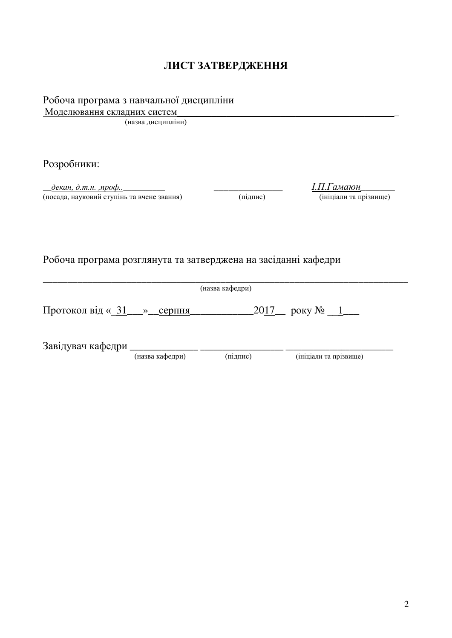### **ЛИСТ ЗАТВЕРДЖЕННЯ**

| Робоча програма з навчальної дисципліни |  |  |
|-----------------------------------------|--|--|

Моделювання складних систем

(назва дисципліни)

Розробники:

\_\_*ɞɟɤɚɧ, ɞ.ɬ.ɧ. ,ɩɪɨɮ..*\_\_\_\_\_\_\_\_\_\_ \_\_\_\_\_\_\_\_\_\_\_\_\_\_ *І.П.Гɚɦɚɸɧ\_\_\_\_\_\_\_* —<br>(посада, науковий ступінь та вчене звання)

Робоча програма розглянута та затверджена на засіданні кафедри

\_\_\_\_\_\_\_\_\_\_\_\_\_\_\_\_\_\_\_\_\_\_\_\_\_\_\_\_\_\_\_\_\_\_\_\_\_\_\_\_\_\_\_\_\_\_\_\_\_\_\_\_\_\_\_\_\_\_\_\_\_\_\_\_\_\_\_\_\_\_\_\_\_\_ (назва кафедри) Протокол від « $31 \longrightarrow$  серпня 2017 року №  $1$ Ɂɚɜɿɞɭɜɚɱ ɤɚɮɟɞɪɢ \_\_\_\_\_\_\_\_\_\_\_\_\_\_\_ \_\_\_\_\_\_\_\_\_\_\_\_\_\_\_\_\_\_\_ \_\_\_\_\_\_\_\_\_\_\_\_\_\_\_\_\_\_\_\_\_\_\_\_\_\_\_ (ініціали та прізвище)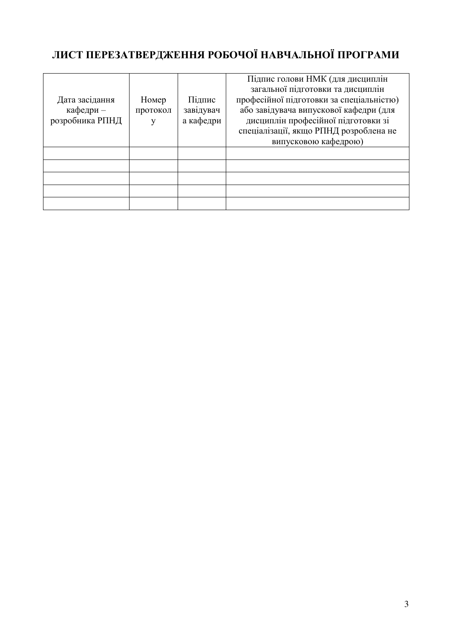# **ЛИСТ ПЕРЕЗАТВЕРДЖЕННЯ РОБОЧОЇ НАВЧАЛЬНОЇ ПРОГРАМИ**

|                 |          |           | Підпис голови НМК (для дисциплін         |
|-----------------|----------|-----------|------------------------------------------|
|                 |          |           | загальної підготовки та дисциплін        |
| Дата засідання  | Номер    | Підпис    | професійної підготовки за спеціальністю) |
| кафедри -       | протокол | завідувач | або завідувача випускової кафедри (для   |
| розробника РПНД |          | а кафедри | дисциплін професійної підготовки зі      |
|                 |          |           | спеціалізації, якщо РПНД розроблена не   |
|                 |          |           | випусковою кафедрою)                     |
|                 |          |           |                                          |
|                 |          |           |                                          |
|                 |          |           |                                          |
|                 |          |           |                                          |
|                 |          |           |                                          |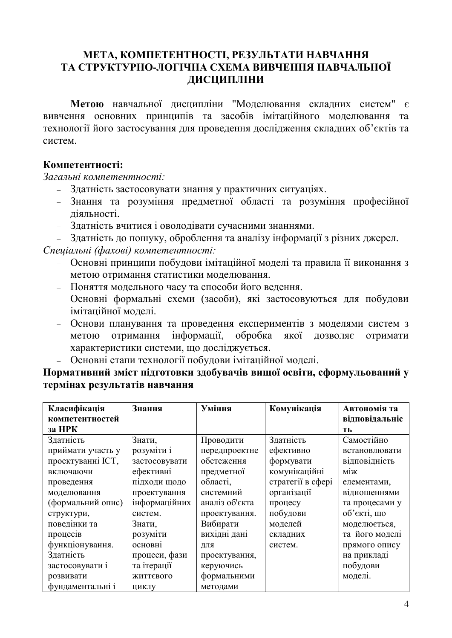## МЕТА, КОМПЕТЕНТНОСТІ, РЕЗУЛЬТАТИ НАВЧАННЯ ТА СТРУКТУРНО-ЛОГІЧНА СХЕМА ВИВЧЕННЯ НАВЧАЛЬНОЇ ДИСЦИПЛІНИ

Метою навчальної дисципліни "Моделювання складних систем" є вивчення основних принципів та засобів імітаційного моделювання та технології його застосування для проведення дослідження складних об'єктів та систем

### Компетентності·

Загальні компетентності:

- Здатність застосовувати знання у практичних ситуаціях.
- Знання та розуміння предметної області та розуміння професійної ліяльності.
- Здатність вчитися і оволодівати сучасними знаннями.

– Здатність до пошуку, оброблення та аналізу інформації з різних джерел. Спеціальні (фахові) компетентності:

- Основні принципи побудови імітаційної моделі та правила її виконання з метою отримання статистики моделювання.
- Поняття модельного часу та способи його ведення.
- Основні формальні схеми (засоби), які застосовуються для побудови імітаційної молелі.
- Основи планування та проведення експериментів з моделями систем з метою отримання інформації, обробка якої дозволяє отримати характеристики системи, що лосліджується.
- Основні етапи технології побудови імітаційної моделі.

## **Нормативний зміст підготовки здобувачів вищої освіти, сформульований у** термінах результатів навчання

| Класифікація      | Знання         | Уміння         | Комунікація       | Автономія та   |
|-------------------|----------------|----------------|-------------------|----------------|
| компетентностей   |                |                |                   | відповідальніс |
| за НРК            |                |                |                   | TЬ             |
| Здатність         | Знати,         | Проводити      | Здатність         | Самостійно     |
| приймати участь у | розуміти і     | передпроектне  | ефективно         | встановлювати  |
| проектуванні ІСТ, | застосовувати  | обстеження     | формувати         | відповідність  |
| включаючи         | ефективні      | предметної     | комунікаційні     | M12K           |
| проведення        | підходи щодо   | області,       | стратегії в сфері | елементами,    |
| моделювання       | проектування   | системний      | організації       | відношеннями   |
| (формальний опис) | інформаційних  | аналіз об'єкта | процесу           | та процесами у |
| структури,        | систем.        | проектування.  | побудови          | об'єкті, що    |
| поведінки та      | Знати,         | Вибирати       | моделей           | моделюється,   |
| процесів          | розуміти       | вихідні дані   | складних          | та його моделі |
| функціонування.   | <b>ОСНОВН1</b> | ДЛЯ            | систем.           | прямого опису  |
| Здатність         | процеси, фази  | проектування,  |                   | на прикладі    |
| застосовувати і   | та ітерації    | керуючись      |                   | побудови       |
| розвивати         | ЖИТТЄВОГО      | формальними    |                   | моделі.        |
| фундаментальні і  | ЦИКЛУ          | методами       |                   |                |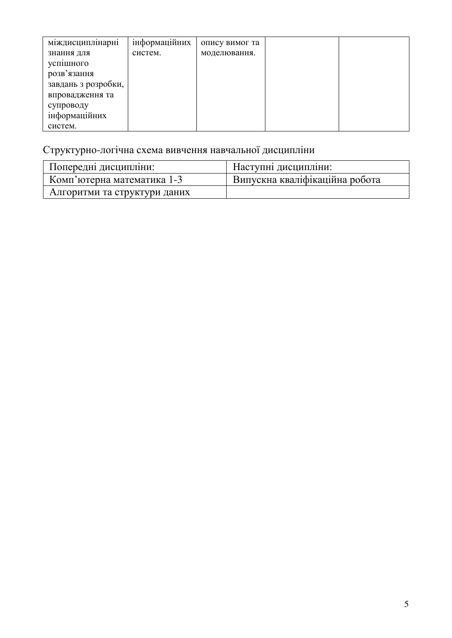| міждисциплінарні    | інформаційних | опису вимог та |  |
|---------------------|---------------|----------------|--|
| знання для          | систем.       | моделювання.   |  |
| успішного           |               |                |  |
| розв'язання         |               |                |  |
| завдань з розробки, |               |                |  |
| впровадження та     |               |                |  |
| супроводу           |               |                |  |
| інформаційних       |               |                |  |
| систем.             |               |                |  |

# Структурно-логічна схема вивчення навчальної дисципліни

| Попередні дисципліни:        | Наступні дисципліни:           |
|------------------------------|--------------------------------|
| Комп'ютерна математика 1-3   | Випускна кваліфікаційна робота |
| Алгоритми та структури даних |                                |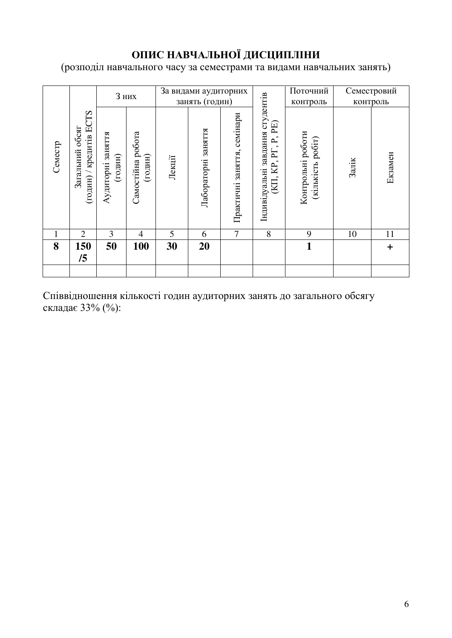# ОПИС НАВЧАЛЬНОЇ ДИСЦИПЛІНИ

(розподіл навчального часу за семестрами та видами навчальних занять)

| 8         | 1              | Семестр                                                                                                              |                                        |
|-----------|----------------|----------------------------------------------------------------------------------------------------------------------|----------------------------------------|
| 150<br>/5 | $\overline{2}$ | TS<br>кредитів Е<br>обсяг<br>Загальний<br>годин)                                                                     |                                        |
| 50        | 3              | Аудиторні заняття<br>$($ годин $)$                                                                                   |                                        |
| 100       | 4              | Самостійна робота<br>(годин)                                                                                         | <b>3 них</b>                           |
| 30        | 5              | Лекції                                                                                                               |                                        |
| 20        | 6              | RITRHES<br>Лабораторні                                                                                               | За видами аудиторних<br>занять (годин) |
|           | 7              | заняття, семінари<br>Практичні                                                                                       |                                        |
|           | 8              | завдання студентів<br>$\mathbb{P} \mathbb{E}$<br>$\mathbf{P}_{\cdot}$<br>$\sim$<br>KP, PT,<br>Індивідуальні<br>(KII, |                                        |
| 1         | 9              | Контрольні роботи<br>(кількість робіт)                                                                               | Поточний<br>контроль                   |
|           | 10             | Залік                                                                                                                | контроль                               |
| $\ddag$   | 11             | Екзамен                                                                                                              | Семестровий                            |

Співвідношення кількості годин аудиторних занять до загального обсягу складає 33% (%):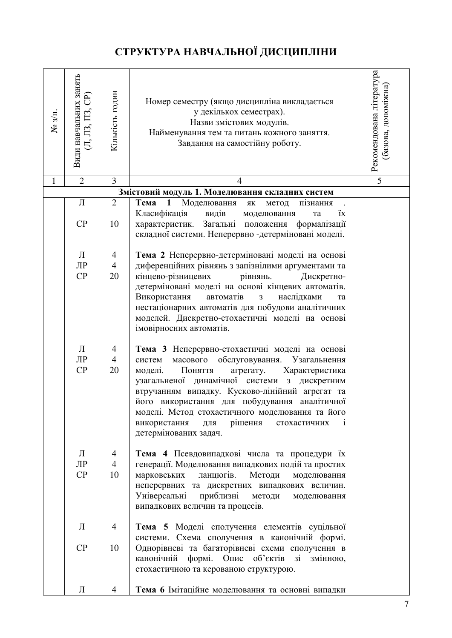# СТРУКТУРА НАВЧАЛЬНОЇ ДИСЦИПЛІНИ

| $N_{2}$ $3/\Pi$ . | Види навчальних занять<br>$(\Pi, \Pi$ 3, $\Pi$ 3, $\mathrm{CP}$ | Кількість годин           | Номер семестру (якщо дисципліна викладається<br>у декількох семестрах).<br>Назви змістових модулів.<br>Найменування тем та питань кожного заняття.<br>Завдання на самостійну роботу.                                                                                                                                                                                                                                                              | Рекомендована література<br>базова, допоміжна |
|-------------------|-----------------------------------------------------------------|---------------------------|---------------------------------------------------------------------------------------------------------------------------------------------------------------------------------------------------------------------------------------------------------------------------------------------------------------------------------------------------------------------------------------------------------------------------------------------------|-----------------------------------------------|
| $\mathbf{1}$      | $\overline{2}$                                                  | 3                         | $\overline{4}$                                                                                                                                                                                                                                                                                                                                                                                                                                    | 5                                             |
|                   |                                                                 |                           | Змістовий модуль 1. Моделювання складних систем                                                                                                                                                                                                                                                                                                                                                                                                   |                                               |
|                   | Л<br>CP                                                         | $\overline{2}$<br>10      | Тема<br>Моделювання<br>$\mathbf{1}$<br>пізнання<br>ЯК<br>метод<br>Класифікація<br>видів<br>ïх<br>моделювання<br>та<br>Загальні положення<br>формалізації<br>характеристик.<br>складної системи. Неперервно -детерміновані моделі.                                                                                                                                                                                                                 |                                               |
|                   | Л                                                               | 4                         | Тема 2 Неперервно-детерміновані моделі на основі                                                                                                                                                                                                                                                                                                                                                                                                  |                                               |
|                   | ЛР                                                              | $\overline{4}$            | диференційних рівнянь з запізнілими аргументами та                                                                                                                                                                                                                                                                                                                                                                                                |                                               |
|                   | CP                                                              | 20                        | кінцево-різницевих<br>рівнянь.<br>Дискретно-<br>детерміновані моделі на основі кінцевих автоматів.<br>Використання<br>наслідками<br>автоматів<br>3<br>та<br>нестаціонарних автоматів для побудови аналітичних<br>моделей. Дискретно-стохастичні моделі на основі<br>імовірносних автоматів.                                                                                                                                                       |                                               |
|                   | Л<br>$\prod P$<br>CP                                            | 4<br>$\overline{4}$<br>20 | Тема 3 Неперервно-стохастичні моделі на основі<br>масового<br>обслуговування.<br>Узагальнення<br>систем<br>моделі.<br>Поняття<br>агрегату.<br>Характеристика<br>узагальненої динамічної системи<br>з дискретним<br>втручанням випадку. Кусково-лінійний агрегат та<br>його використання для побудування аналітичної<br>моделі. Метод стохастичного моделювання та його<br>рішення<br>використання<br>стохастичних<br>ДЛЯ<br>детермінованих задач. |                                               |
|                   | Л<br>$\prod P$<br>CP                                            | 4<br>$\overline{4}$<br>10 | Тема 4 Псевдовипадкові числа та процедури їх<br>генерації. Моделювання випадкових подій та простих<br>ланцюгів.<br>Методи<br>марковських<br>моделювання<br>неперервних та дискретних випадкових величин.<br>Універсальні<br>приблизні<br>методи<br>моделювання<br>випадкових величин та процесів.                                                                                                                                                 |                                               |
|                   | Л<br>CP                                                         | 4<br>10                   | Тема 5 Моделі сполучення елементів суцільної<br>системи. Схема сполучення в канонічній формі.<br>Однорівневі та багаторівневі схеми сполучення в                                                                                                                                                                                                                                                                                                  |                                               |
|                   |                                                                 |                           | канонічній<br>формі. Опис об'єктів<br>3i<br>змінною,<br>стохастичною та керованою структурою.                                                                                                                                                                                                                                                                                                                                                     |                                               |
|                   | Л                                                               | 4                         | Тема 6 Імітаційне моделювання та основні випадки                                                                                                                                                                                                                                                                                                                                                                                                  |                                               |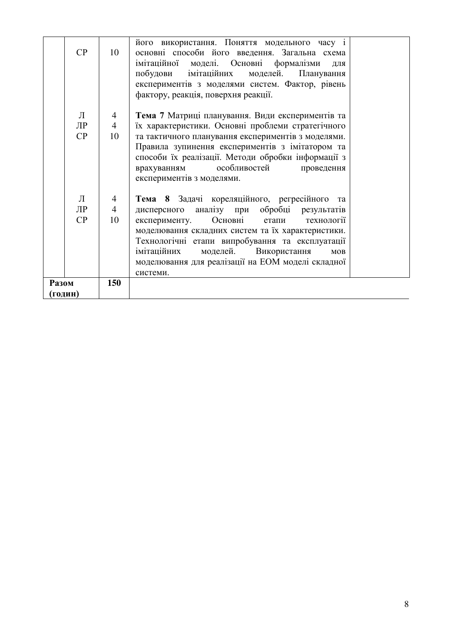|         | CP        | 10             | його використання. Поняття модельного часу і<br>основні способи його введення. Загальна схема<br>моделі. Основні формалізми<br>імітаційної<br>ДЛЯ<br>побудови імітаційних<br>моделей.<br>Планування<br>експериментів з моделями систем. Фактор, рівень<br>фактору, реакція, поверхня реакції. |
|---------|-----------|----------------|-----------------------------------------------------------------------------------------------------------------------------------------------------------------------------------------------------------------------------------------------------------------------------------------------|
|         | Л         | $\overline{4}$ | Тема 7 Матриці планування. Види експериментів та                                                                                                                                                                                                                                              |
|         | $\prod P$ | 4              | їх характеристики. Основні проблеми стратегічного                                                                                                                                                                                                                                             |
|         | CP        | 10             | та тактичного планування експериментів з моделями.                                                                                                                                                                                                                                            |
|         |           |                | Правила зупинення експериментів з імітатором та                                                                                                                                                                                                                                               |
|         |           |                | способи їх реалізації. Методи обробки інформації з                                                                                                                                                                                                                                            |
|         |           |                | особливостей<br>врахуванням<br>проведення                                                                                                                                                                                                                                                     |
|         |           |                | експериментів з моделями.                                                                                                                                                                                                                                                                     |
|         | Л         | 4              | Тема 8 Задачі кореляційного, регресійного та                                                                                                                                                                                                                                                  |
|         | ЛР        | 4              | дисперсного аналізу при обробці результатів                                                                                                                                                                                                                                                   |
|         | CP        | 10             | Основні<br>технології<br>експерименту.<br>етапи                                                                                                                                                                                                                                               |
|         |           |                | моделювання складних систем та їх характеристики.                                                                                                                                                                                                                                             |
|         |           |                | Технологічні етапи випробування та експлуатації                                                                                                                                                                                                                                               |
|         |           |                | імітаційних<br>моделей.<br>Використання<br>MOB                                                                                                                                                                                                                                                |
|         |           |                | моделювання для реалізації на ЕОМ моделі складної                                                                                                                                                                                                                                             |
|         |           |                | системи.                                                                                                                                                                                                                                                                                      |
| Разом   |           | 150            |                                                                                                                                                                                                                                                                                               |
| (годин) |           |                |                                                                                                                                                                                                                                                                                               |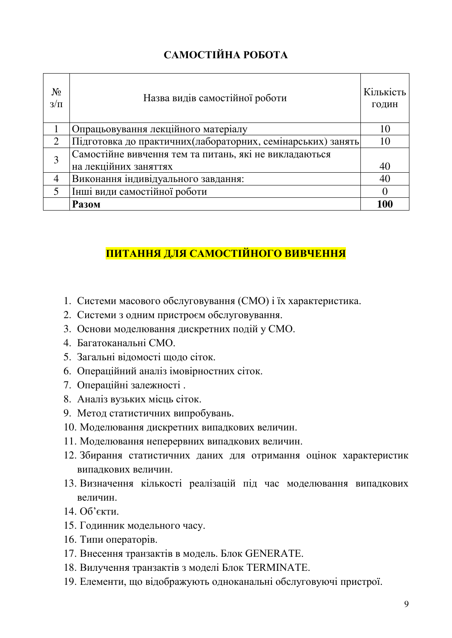# САМОСТІЙНА РОБОТА

| $N_2$<br>$3/\Pi$ | Назва видів самостійної роботи                               | Кількість<br>ГОДИН |  |  |
|------------------|--------------------------------------------------------------|--------------------|--|--|
|                  | Опрацьовування лекційного матеріалу                          |                    |  |  |
|                  | Підготовка до практичних (лабораторних, семінарських) занять | 10                 |  |  |
| 3                | Самостійне вивчення тем та питань, які не викладаються       |                    |  |  |
|                  | на лекційних заняттях                                        | 40                 |  |  |
|                  | Виконання індивідуального завдання:                          | 40                 |  |  |
|                  | Інші види самостійної роботи                                 |                    |  |  |
|                  | <b>Разом</b>                                                 | 100                |  |  |

# ПИТАННЯ ДЛЯ САМОСТІЙНОГО ВИВЧЕННЯ

- 1. Системи масового обслуговування (СМО) і їх характеристика.
- 2. Системи з одним пристроєм обслуговування.
- 3. Основи моделювання дискретних подій у СМО.
- 4. Багатоканальні СМО.
- 5. Загальні віломості шоло сіток.
- 6. Операційний аналіз імовірностних сіток.
- 7. Операційні залежності.
- 8. Аналіз вузьких місць сіток.
- 9. Метод статистичних випробувань.
- 10. Моделювання дискретних випадкових величин.
- 11. Моделювання неперервних випадкових величин.
- 12. Збирання статистичних даних для отримання оцінок характеристик випалкових величин.
- 13. Визначення кількості реалізацій під час моделювання випадкових величин.
- 14. Об'єкти.
- 15. Годинник модельного часу.
- 16. Типи операторів.
- 17. Внесення транзактів в модель. Блок GENERATE.
- 18. Вилучення транзактів з моделі Блок TERMINATE.
- 19. Елементи, що відображують одноканальні обслуговуючі пристрої.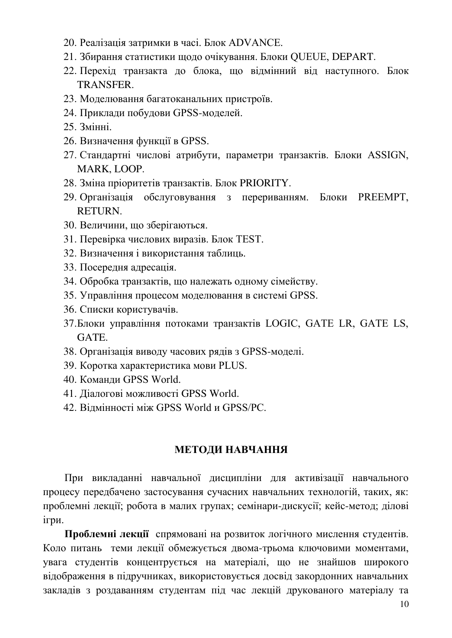- 20. Реалізація затримки в часі. Блок ADVANCE.
- 21. Збирання статистики щодо очікування. Блоки OUEUE, DEPART.
- 22. Перехід транзакта до блока, що відмінний від наступного. Блок TRANSFER.
- 23. Моделювання багатоканальних пристроїв.
- 24. Приклади побудови GPSS-моделей.
- 25. Змінні.
- 26. Визначення функції в GPSS.
- 27. Стандартні числові атрибути, параметри транзактів. Блоки ASSIGN, MARK, LOOP.
- 28. Зміна пріоритетів транзактів. Блок PRIORITY.
- 29. Організація обслуговування з перериванням. Блоки PREEMPT, RETURN.
- 30. Величини, що зберігаються.
- 31. Перевірка числових виразів. Блок TEST.
- 32. Визначення і використання таблиць.
- 33. Посередня адресація.
- 34. Обробка транзактів, що належать одному сімейству.
- 35. Управління процесом моделювання в системі GPSS.
- 36. Списки користувачів.
- 37. Блоки управління потоками транзактів LOGIC, GATE LR, GATE LS, GATE.
- 38. Організація виводу часових рядів з GPSS-моделі.
- 39. Коротка характеристика мови PLUS.
- 40. Команди GPSS World.
- 41. Діалогові можливості GPSS World.
- 42. Вілмінності між GPSS World и GPSS/PC.

#### МЕТОДИ НАВЧАННЯ

При викладанні навчальної дисципліни для активізації навчального процесу передбачено застосування сучасних навчальних технологій, таких, як: проблемні лекції; робота в малих групах; семінари-дискусії; кейс-метод; ділові ігри.

Проблемні лекції спрямовані на розвиток логічного мислення студентів. Коло питань теми лекції обмежується двома-трьома ключовими моментами, увага студентів концентрується на матеріалі, що не знайшов широкого відображення в підручниках, використовується досвід закордонних навчальних закладів з роздаванням студентам під час лекцій друкованого матеріалу та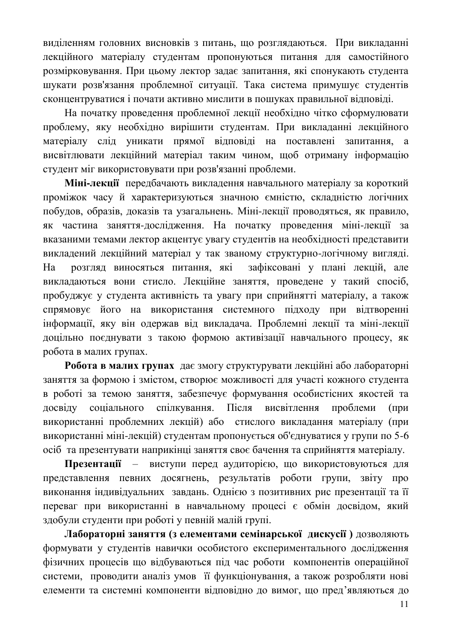виділенням головних висновків з питань, що розглядаються. При викладанні лекційного матеріалу студентам пропонуються питання для самостійного розмірковування. При цьому лектор задає запитання, які спонукають студента шукати розв'язання проблемної ситуації. Така система примушує студентів сконцентруватися і почати активно мислити в пошуках правильної відповіді.

На початку проведення проблемної лекції необхідно чітко сформулювати проблему, яку необхідно вирішити студентам. При викладанні лекційного матеріалу слід уникати прямої відповіді на поставлені запитання, а висвітлювати лекційний матеріал таким чином, щоб отриману інформацію студент міг використовувати при розв'язанні проблеми.

Міні-лекції передбачають викладення навчального матеріалу за короткий проміжок часу й характеризуються значною ємністю, складністю логічних побудов, образів, доказів та узагальнень. Міні-лекції проводяться, як правило, як частина заняття-дослідження. На початку проведення міні-лекції за вказаними темами лектор акцентує увагу студентів на необхідності представити викладений лекційний матеріал у так званому структурно-логічному вигляді. На розгляд виносяться питання, які зафіксовані у плані лекцій, але викладаються вони стисло. Лекційне заняття, проведене у такий спосіб, пробуджує у студента активність та увагу при сприйнятті матеріалу, а також спрямовує його на використання системного підходу при відтворенні інформації, яку він одержав від викладача. Проблемні лекції та міні-лекції доцільно поєднувати з такою формою активізації навчального процесу, як робота в малих групах.

Робота в малих групах дає змогу структурувати лекційні або лабораторні заняття за формою і змістом, створює можливості для участі кожного студента в роботі за темою заняття, забезпечує формування особистісних якостей та досвіду соціального спілкування. Після висвітлення проблеми (при використанні проблемних лекцій) або стислого викладання матеріалу (при використанні міні-лекцій) студентам пропонується об'єднуватися у групи по 5-6 осіб та презентувати наприкінці заняття своє бачення та сприйняття матеріалу.

Презентації – виступи перед аудиторією, що використовуються для представлення певних досягнень, результатів роботи групи, звіту про виконання індивідуальних завдань. Однією з позитивних рис презентації та її переваг при використанні в навчальному процесі є обмін досвідом, який здобули студенти при роботі у певній малій групі.

**Лабораторні заняття (з елементами семінарської дискусії)** дозволяють формувати у студентів навички особистого експериментального дослідження фізичних процесів що відбуваються під час роботи компонентів операційної системи, проводити аналіз умов її функціонування, а також розробляти нові елементи та системні компоненти відповідно до вимог, що пред'являються до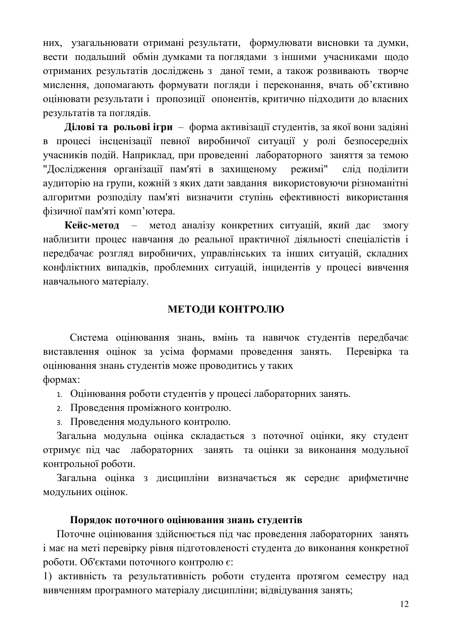них, узагальнювати отримані результати, формулювати висновки та думки, вести подальший обмін думками та поглядами з іншими учасниками щодо отриманих результатів досліджень з даної теми, а також розвивають творче мислення, допомагають формувати погляди і переконання, вчать об'єктивно оцінювати результати і пропозиції опонентів, критично підходити до власних результатів та поглядів.

**Ділові та рольові ігри** – форма активізації студентів, за якої вони задіяні в процесі інсценізації певної виробничої ситуації у ролі безпосередніх учасників подій. Наприклад, при проведенні лабораторного заняття за темою "Дослідження організації пам'яті в захищеному режимі" слід поділити аудиторію на групи, кожній з яких дати завдання використовуючи різноманітні алгоритми розподілу пам'яті визначити ступінь ефективності використання фізичної пам'яті комп'ютера.

**Кейс-метод** – метод аналізу конкретних ситуацій, який дає змогу наблизити процес навчання до реальної практичної діяльності спеціалістів і передбачає розгляд виробничих, управлінських та інших ситуацій, складних конфліктних випадків, проблемних ситуацій, інцидентів у процесі вивчення навчального матеріалу.

### МЕТОДИ КОНТРОЛЮ

Система оцінювання знань, вмінь та навичок студентів передбачає виставлення оцінок за усіма формами проведення занять. Перевірка та оцінювання знань студентів може проводитись у таких формах:

1. Оцінювання роботи студентів у процесі лабораторних занять.

- 2. Проведення проміжного контролю.
- з. Проведення модульного контролю.

Загальна модульна оцінка складається з поточної оцінки, яку студент отримує під час лабораторних занять та оцінки за виконання модульної контрольної роботи.

Загальна оцінка з дисципліни визначається як середнє арифметичне модульних оцінок.

### Порядок поточного оцінювання знань студентів

Поточне оцінювання здійснюється під час проведення лабораторних занять і має на меті перевірку рівня підготовленості студента до виконання конкретної роботи. Об'єктами поточного контролю є:

1) активність та результативність роботи студента протягом семестру над вивченням програмного матеріалу дисципліни; відвідування занять;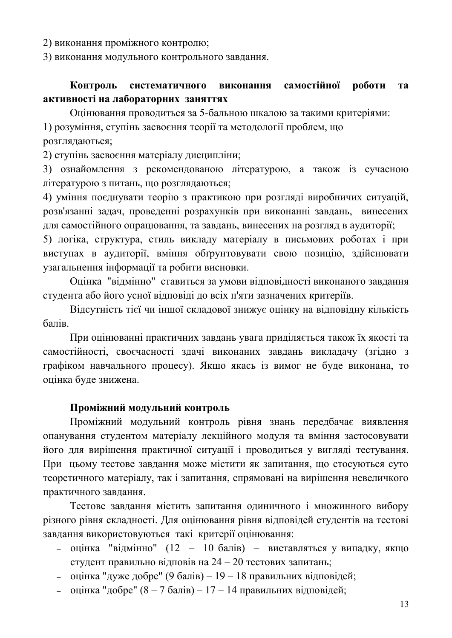2) виконання проміжного контролю;

3) виконання модульного контрольного завдання.

## Контроль систематичного виконання самостійної роботи та активності на лабораторних заняттях

Оцінювання проводиться за 5-бальною шкалою за такими критеріями: 1) розуміння, ступінь засвоєння теорії та методології проблем, що розглядаються;

2) ступінь засвоєння матеріалу дисципліни;

3) ознайомлення з рекомендованою літературою, а також із сучасною літературою з питань, що розглядаються;

4) уміння поєднувати теорію з практикою при розгляді виробничих ситуацій, розв'язанні задач, проведенні розрахунків при виконанні завдань, винесених для самостійного опрацювання, та завдань, винесених на розгляд в аудиторії;

5) логіка, структура, стиль викладу матеріалу в письмових роботах і при виступах в аудиторії, вміння обґрунтовувати свою позицію, здійснювати узагальнення інформації та робити висновки.

Оцінка "відмінно" ставиться за умови відповідності виконаного завдання студента або його усної відповіді до всіх п'яти зазначених критеріїв.

Відсутність тієї чи іншої складової знижує оцінку на відповідну кількість балів.

При оцінюванні практичних завдань увага приділяється також їх якості та самостійності, своєчасності здачі виконаних завдань викладачу (згідно з графіком навчального процесу). Якщо якась із вимог не буде виконана, то оцінка буде знижена.

#### Проміжний модульний контроль

Проміжний модульний контроль рівня знань передбачає виявлення опанування студентом матеріалу лекційного модуля та вміння застосовувати його для вирішення практичної ситуації і проводиться у вигляді тестування. При цьому тестове завдання може містити як запитання, що стосуються суто теоретичного матеріалу, так і запитання, спрямовані на вирішення невеличкого практичного завдання.

Тестове завдання містить запитання одиничного і множинного вибору різного рівня складності. Для оцінювання рівня відповідей студентів на тестові завдання використовуються такі критерії оцінювання:

- $-$  оцінка "відмінно" (12 10 балів) виставляться у випадку, якщо студент правильно відповів на 24 – 20 тестових запитань;
- $-$  оцінка "дуже добре" (9 балів) 19 18 правильних відповідей;
- оцінка "добре"  $(8 7)$ балів) 17 14 правильних відповідей;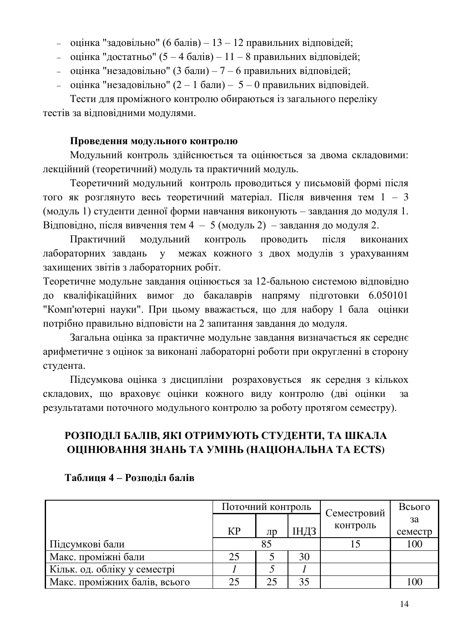- оцінка "задовільно" (6 балів) 13 12 правильних відповідей;
- $-$  оцінка "достатньо" (5 4 балів) 11 8 правильних відповідей;
- $-$  оцінка "незадовільно" (3 бали) 7 6 правильних відповідей;
- $-$  оцінка "незадовільно" (2 1 бали) 5 0 правильних відповідей.

Тести для проміжного контролю обираються із загального переліку тестів за відповідними модулями.

# Проведення модульного контролю

Модульний контроль здійснюється та оцінюється за двома складовими: лекційний (теоретичний) модуль та практичний модуль.

Теоретичний модульний контроль проводиться у письмовій формі після того як розглянуто весь теоретичний матеріал. Після вивчення тем  $1 - 3$ (модуль 1) студенти денної форми навчання виконують – завдання до модуля 1. Відповідно, після вивчення тем 4 – 5 (модуль 2) – завдання до модуля 2.

Практичний модульний контроль проводить після виконаних лабораторних завдань у межах кожного з двох модулів з урахуванням захищених звітів з лабораторних робіт.

Теоретичне модульне завдання оцінюється за 12-бальною системою відповідно до кваліфікаційних вимог до бакалаврів напряму підготовки 6.050101 "Комп'ютерні науки". При цьому вважається, що для набору 1 бала оцінки потрібно правильно відповісти на 2 запитання завдання до модуля.

Загальна оцінка за практичне модульне завдання визначається як середнє арифметичне з оцінок за виконані лабораторні роботи при округленні в сторону студента.

Підсумкова оцінка з дисципліни розраховується як середня з кількох складових, що враховує оцінки кожного виду контролю (дві оцінки за результатами поточного модульного контролю за роботу протягом семестру).

# РОЗПОДІЛ БАЛІВ, ЯКІ ОТРИМУЮТЬ СТУДЕНТИ, ТА ШКАЛА ОЦІНЮВАННЯ ЗНАНЬ ТА УМІНЬ (НАЦІОНАЛЬНА ТА ECTS)

|                               | Поточний контроль |           |             | Семестровий | Всього  |
|-------------------------------|-------------------|-----------|-------------|-------------|---------|
|                               |                   |           |             | контроль    | 3a      |
|                               | KP                | $J$ I $D$ | <b>ІНДЗ</b> |             | семестр |
| Підсумкові бали               |                   | 85        |             |             | 100     |
| Макс. проміжні бали           | 25                |           | 30          |             |         |
| Кільк. од. обліку у семестрі  |                   |           |             |             |         |
| Макс. проміжних балів, всього | 25                | 25        | 35          |             | 100     |

## Таблиця 4 – Розподіл балів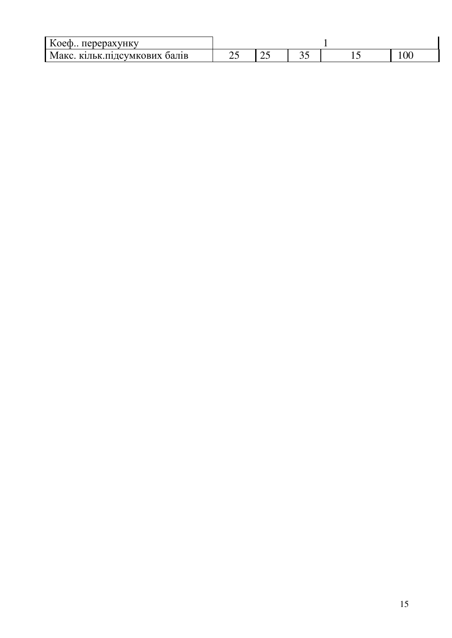| $T$ $\sim$<br>оеф перерахунку   |   |   |   |       |
|---------------------------------|---|---|---|-------|
| кільк.підсумкових балів<br>Макс | ت | ت | ັ | 1 V V |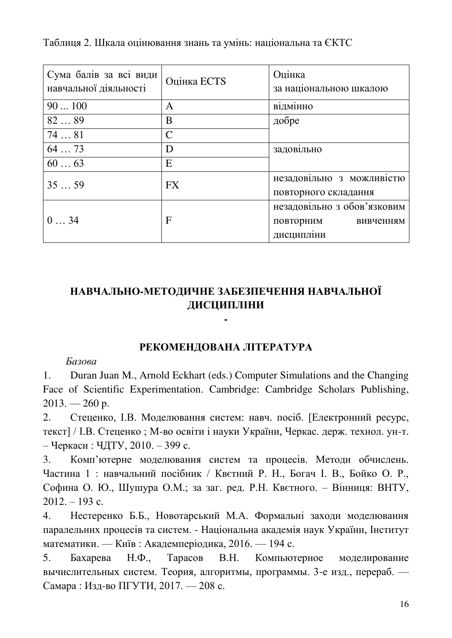| Сума балів за всі види<br>навчальної діяльності | Оцінка ECTS   | Оцінка<br>за національною шкалою                                    |
|-------------------------------------------------|---------------|---------------------------------------------------------------------|
| 90100                                           | A             | відмінно                                                            |
| 8289                                            | B             | добре                                                               |
| 7481                                            | $\mathcal{C}$ |                                                                     |
| 6473                                            | D             | задовільно                                                          |
| 6063                                            | E             |                                                                     |
| 3559                                            | <b>FX</b>     | незадовільно з можливістю<br>повторного складання                   |
| 034                                             | $\mathbf{F}$  | незадовільно з обов'язковим<br>повторним<br>вивченням<br>дисципліни |

Таблиця 2. Шкала оцінювання знань та умінь: національна та ЄКТС

# НАВЧАЛЬНО-МЕТОДИЧНЕ ЗАБЕЗПЕЧЕННЯ НАВЧАЛЬНОЇ ЛИСШИПЛІНИ

**-**

### РЕКОМЕНДОВАНА ЛІТЕРАТУРА

#### $B$ *азова*

1. Duran Juan M., Arnold Eckhart (eds.) Computer Simulations and the Changing Face of Scientific Experimentation. Cambridge: Cambridge Scholars Publishing,  $2013. - 260$  p.

2. Стеценко, І.В. Моделювання систем: навч. посіб. [Електронний ресурс, текст] / І.В. Стеценко; М-во освіти і науки України, Черкас. держ. технол. ун-т. – Черкаси: ЧДТУ, 2010. – 399 с.

3. Комп'ютерне моделювання систем та процесів. Методи обчислень. Частина 1 : навчальний посібник / Квєтний Р. Н., Богач І. В., Бойко О. Р., Софина О. Ю., Шушура О.М.; за заг. ред. Р.Н. Квєтного. – Вінниця: ВНТУ,  $2012. - 193$  c.

4. Нестеренко Б.Б., Новотарський М.А. Формальні заходи моделювання паралельних процесів та систем. - Національна академія наук України, Інститут математики. — Київ: Академперіодика, 2016. — 194 с.

5. Бахарева Н.Ф., Тарасов В.Н. Компьютерное моделирование вычислительных систем. Теория, алгоритмы, программы. 3-е изд., перераб. -Самара : Изд-во ПГУТИ, 2017. — 208 с.